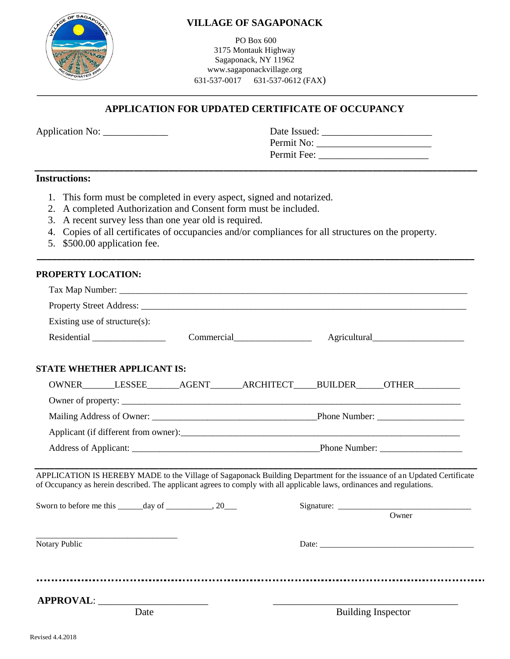

## **VILLAGE OF SAGAPONACK**

PO Box 600 3175 Montauk Highway Sagaponack, NY 11962 www.sagaponackvillage.org 631-537-0017 631-537-0612 (FAX)

# **APPLICATION FOR UPDATED CERTIFICATE OF OCCUPANCY**

 **\_\_\_\_\_\_\_\_\_\_\_\_\_\_\_\_\_\_\_\_\_\_\_\_\_\_\_\_\_\_\_\_\_\_\_\_\_\_\_\_\_\_\_\_\_\_\_\_\_\_\_\_\_\_\_\_\_\_\_\_\_\_\_\_\_\_\_\_\_\_\_\_\_\_\_\_\_\_\_\_\_\_\_\_\_\_\_\_\_**

Permit Fee: \_\_\_\_\_\_\_\_\_\_\_\_\_\_\_\_\_\_\_\_\_\_

| <b>Application No:</b> | Date Issued: |
|------------------------|--------------|
|                        | Permit No:   |

### **Instructions:**

- 1. This form must be completed in every aspect, signed and notarized.
- 2. A completed Authorization and Consent form must be included.
- 3. A recent survey less than one year old is required.
- 4. Copies of all certificates of occupancies and/or compliances for all structures on the property.

 **\_\_\_\_\_\_\_\_\_\_\_\_\_\_\_\_\_\_\_\_\_\_\_\_\_\_\_\_\_\_\_\_\_\_\_\_\_\_\_\_\_\_\_\_\_\_\_\_\_\_\_\_\_\_\_\_\_\_\_\_\_\_\_\_\_\_\_\_\_\_\_\_\_\_\_\_\_\_\_\_\_\_\_\_\_\_\_\_**

5. \$500.00 application fee.

#### **PROPERTY LOCATION:**

| Existing use of structure $(s)$ :                                                                                                                                                                                                                                                                                             |            |  |                           |
|-------------------------------------------------------------------------------------------------------------------------------------------------------------------------------------------------------------------------------------------------------------------------------------------------------------------------------|------------|--|---------------------------|
|                                                                                                                                                                                                                                                                                                                               | Commercial |  |                           |
| <b>STATE WHETHER APPLICANT IS:</b>                                                                                                                                                                                                                                                                                            |            |  |                           |
| OWNER_______LESSEE_______AGENT_______ARCHITECT_____BUILDER______OTHER___________                                                                                                                                                                                                                                              |            |  |                           |
|                                                                                                                                                                                                                                                                                                                               |            |  |                           |
|                                                                                                                                                                                                                                                                                                                               |            |  |                           |
| Applicant (if different from owner):                                                                                                                                                                                                                                                                                          |            |  |                           |
|                                                                                                                                                                                                                                                                                                                               |            |  |                           |
| APPLICATION IS HEREBY MADE to the Village of Sagaponack Building Department for the issuance of an Updated Certificate<br>of Occupancy as herein described. The applicant agrees to comply with all applicable laws, ordinances and regulations.<br>Sworn to before me this $\_\_\_\_$ day of $\_\_\_\_\_\_$ , 20 $\_\_\_\_\$ |            |  | $\overline{O}$ wner       |
| Notary Public                                                                                                                                                                                                                                                                                                                 |            |  |                           |
|                                                                                                                                                                                                                                                                                                                               |            |  |                           |
| APPROVAL:<br>Date                                                                                                                                                                                                                                                                                                             |            |  | <b>Building Inspector</b> |